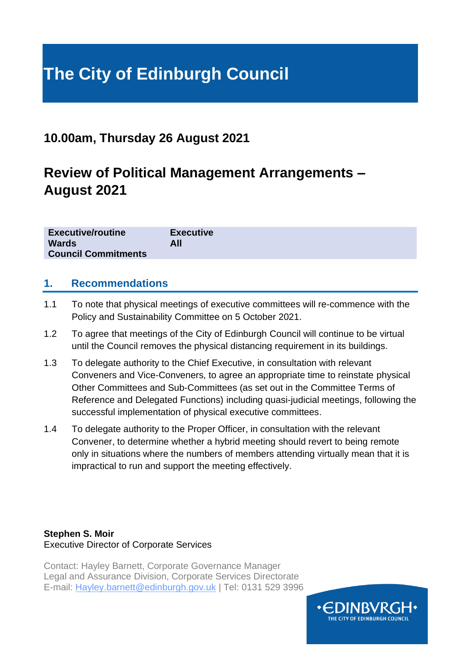# **The City of Edinburgh Council**

# **10.00am, Thursday 26 August 2021**

# **Review of Political Management Arrangements – August 2021**

| <b>Executive/routine</b>   | <b>Executive</b> |
|----------------------------|------------------|
| <b>Wards</b>               | All              |
| <b>Council Commitments</b> |                  |

#### **1. Recommendations**

- 1.1 To note that physical meetings of executive committees will re-commence with the Policy and Sustainability Committee on 5 October 2021.
- 1.2 To agree that meetings of the City of Edinburgh Council will continue to be virtual until the Council removes the physical distancing requirement in its buildings.
- 1.3 To delegate authority to the Chief Executive, in consultation with relevant Conveners and Vice-Conveners, to agree an appropriate time to reinstate physical Other Committees and Sub-Committees (as set out in the Committee Terms of Reference and Delegated Functions) including quasi-judicial meetings, following the successful implementation of physical executive committees.
- 1.4 To delegate authority to the Proper Officer, in consultation with the relevant Convener, to determine whether a hybrid meeting should revert to being remote only in situations where the numbers of members attending virtually mean that it is impractical to run and support the meeting effectively.

#### **Stephen S. Moir** Executive Director of Corporate Services

Contact: Hayley Barnett, Corporate Governance Manager Legal and Assurance Division, Corporate Services Directorate E-mail: Hayley.barnett@edinburgh.gov.uk | Tel: 0131 529 3996

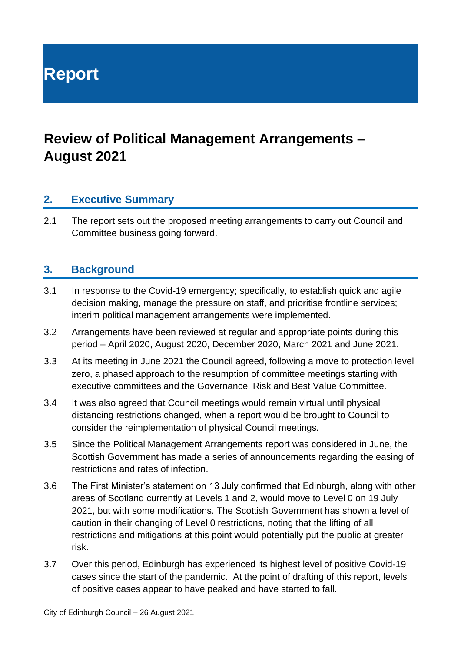**Report**

# **Review of Political Management Arrangements – August 2021**

## **2. Executive Summary**

2.1 The report sets out the proposed meeting arrangements to carry out Council and Committee business going forward.

## **3. Background**

- 3.1 In response to the Covid-19 emergency; specifically, to establish quick and agile decision making, manage the pressure on staff, and prioritise frontline services; interim political management arrangements were implemented.
- 3.2 Arrangements have been reviewed at regular and appropriate points during this period – April 2020, August 2020, December 2020, March 2021 and June 2021.
- 3.3 At its meeting in June 2021 the Council agreed, following a move to protection level zero, a phased approach to the resumption of committee meetings starting with executive committees and the Governance, Risk and Best Value Committee.
- 3.4 It was also agreed that Council meetings would remain virtual until physical distancing restrictions changed, when a report would be brought to Council to consider the reimplementation of physical Council meetings.
- 3.5 Since the Political Management Arrangements report was considered in June, the Scottish Government has made a series of announcements regarding the easing of restrictions and rates of infection.
- 3.6 The First Minister's statement on 13 July confirmed that Edinburgh, along with other areas of Scotland currently at Levels 1 and 2, would move to Level 0 on 19 July 2021, but with some modifications. The Scottish Government has shown a level of caution in their changing of Level 0 restrictions, noting that the lifting of all restrictions and mitigations at this point would potentially put the public at greater risk.
- 3.7 Over this period, Edinburgh has experienced its highest level of positive Covid-19 cases since the start of the pandemic. At the point of drafting of this report, levels of positive cases appear to have peaked and have started to fall.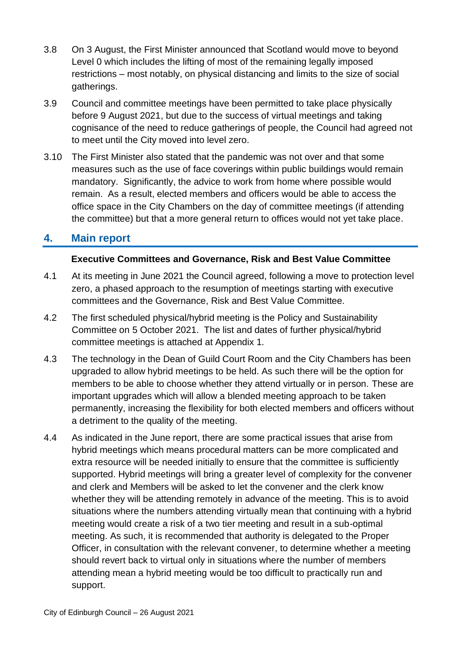- 3.8 On 3 August, the First Minister announced that Scotland would move to beyond Level 0 which includes the lifting of most of the remaining legally imposed restrictions – most notably, on physical distancing and limits to the size of social gatherings.
- 3.9 Council and committee meetings have been permitted to take place physically before 9 August 2021, but due to the success of virtual meetings and taking cognisance of the need to reduce gatherings of people, the Council had agreed not to meet until the City moved into level zero.
- 3.10 The First Minister also stated that the pandemic was not over and that some measures such as the use of face coverings within public buildings would remain mandatory. Significantly, the advice to work from home where possible would remain. As a result, elected members and officers would be able to access the office space in the City Chambers on the day of committee meetings (if attending the committee) but that a more general return to offices would not yet take place.

## **4. Main report**

#### **Executive Committees and Governance, Risk and Best Value Committee**

- 4.1 At its meeting in June 2021 the Council agreed, following a move to protection level zero, a phased approach to the resumption of meetings starting with executive committees and the Governance, Risk and Best Value Committee.
- 4.2 The first scheduled physical/hybrid meeting is the Policy and Sustainability Committee on 5 October 2021. The list and dates of further physical/hybrid committee meetings is attached at Appendix 1.
- 4.3 The technology in the Dean of Guild Court Room and the City Chambers has been upgraded to allow hybrid meetings to be held. As such there will be the option for members to be able to choose whether they attend virtually or in person. These are important upgrades which will allow a blended meeting approach to be taken permanently, increasing the flexibility for both elected members and officers without a detriment to the quality of the meeting.
- 4.4 As indicated in the June report, there are some practical issues that arise from hybrid meetings which means procedural matters can be more complicated and extra resource will be needed initially to ensure that the committee is sufficiently supported. Hybrid meetings will bring a greater level of complexity for the convener and clerk and Members will be asked to let the convener and the clerk know whether they will be attending remotely in advance of the meeting. This is to avoid situations where the numbers attending virtually mean that continuing with a hybrid meeting would create a risk of a two tier meeting and result in a sub-optimal meeting. As such, it is recommended that authority is delegated to the Proper Officer, in consultation with the relevant convener, to determine whether a meeting should revert back to virtual only in situations where the number of members attending mean a hybrid meeting would be too difficult to practically run and support.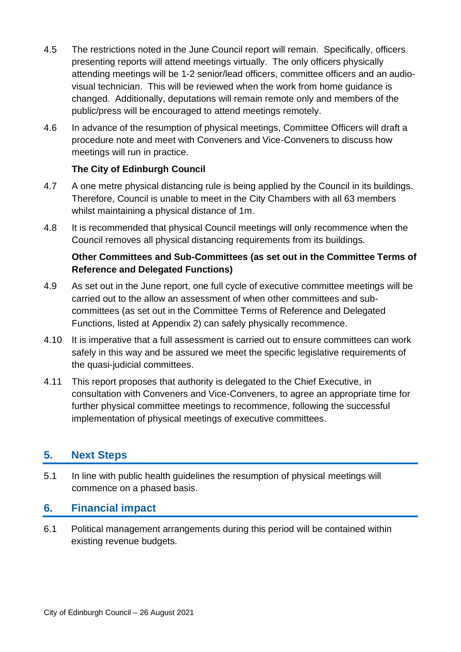- 4.5 The restrictions noted in the June Council report will remain. Specifically, officers presenting reports will attend meetings virtually. The only officers physically attending meetings will be 1-2 senior/lead officers, committee officers and an audiovisual technician. This will be reviewed when the work from home guidance is changed. Additionally, deputations will remain remote only and members of the public/press will be encouraged to attend meetings remotely.
- 4.6 In advance of the resumption of physical meetings, Committee Officers will draft a procedure note and meet with Conveners and Vice-Conveners to discuss how meetings will run in practice.

#### **The City of Edinburgh Council**

- 4.7 A one metre physical distancing rule is being applied by the Council in its buildings. Therefore, Council is unable to meet in the City Chambers with all 63 members whilst maintaining a physical distance of 1m.
- 4.8 It is recommended that physical Council meetings will only recommence when the Council removes all physical distancing requirements from its buildings.

#### **Other Committees and Sub-Committees (as set out in the Committee Terms of Reference and Delegated Functions)**

- 4.9 As set out in the June report, one full cycle of executive committee meetings will be carried out to the allow an assessment of when other committees and subcommittees (as set out in the Committee Terms of Reference and Delegated Functions, listed at Appendix 2) can safely physically recommence.
- 4.10 It is imperative that a full assessment is carried out to ensure committees can work safely in this way and be assured we meet the specific legislative requirements of the quasi-judicial committees.
- 4.11 This report proposes that authority is delegated to the Chief Executive, in consultation with Conveners and Vice-Conveners, to agree an appropriate time for further physical committee meetings to recommence, following the successful implementation of physical meetings of executive committees.

# **5. Next Steps**

5.1 In line with public health guidelines the resumption of physical meetings will commence on a phased basis.

# **6. Financial impact**

6.1 Political management arrangements during this period will be contained within existing revenue budgets.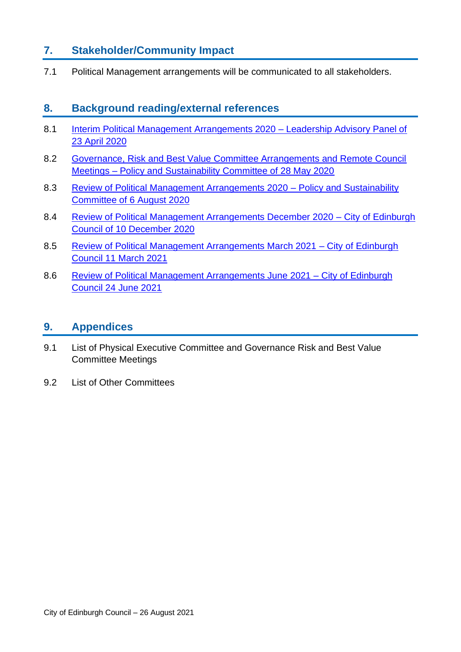# **7. Stakeholder/Community Impact**

7.1 Political Management arrangements will be communicated to all stakeholders.

### **8. Background reading/external references**

- 8.1 [Interim Political Management Arrangements 2020](https://democracy.edinburgh.gov.uk/ieListDocuments.aspx?CId=162&MId=5492&Ver=4) Leadership Advisory Panel of [23 April 2020](https://democracy.edinburgh.gov.uk/ieListDocuments.aspx?CId=162&MId=5492&Ver=4)
- 8.2 [Governance, Risk and Best Value Committee Arrangements and Remote Council](https://democracy.edinburgh.gov.uk/ieListDocuments.aspx?CId=135&MId=5512&Ver=4)  Meetings – [Policy and Sustainability Committee of 28 May 2020](https://democracy.edinburgh.gov.uk/ieListDocuments.aspx?CId=135&MId=5512&Ver=4)
- 8.3 [Review of Political Management Arrangements 2020](https://democracy.edinburgh.gov.uk/ieListDocuments.aspx?CId=135&MId=5517&Ver=4) Policy and Sustainability [Committee of 6 August 2020](https://democracy.edinburgh.gov.uk/ieListDocuments.aspx?CId=135&MId=5517&Ver=4)
- 8.4 [Review of Political Management Arrangements December 2020](https://democracy.edinburgh.gov.uk/ieListDocuments.aspx?CId=150&MId=5594&Ver=4) City of Edinburgh [Council of 10 December 2020](https://democracy.edinburgh.gov.uk/ieListDocuments.aspx?CId=150&MId=5594&Ver=4)
- 8.5 [Review of Political Management Arrangements March 2021](https://democracy.edinburgh.gov.uk/ieListDocuments.aspx?CId=150&MId=5597&Ver=4) City of Edinburgh [Council 11 March 2021](https://democracy.edinburgh.gov.uk/ieListDocuments.aspx?CId=150&MId=5597&Ver=4)
- 8.6 [Review of Political Management Arrangements June 2021 –](https://democracy.edinburgh.gov.uk/ieListDocuments.aspx?CId=150&MId=5600&Ver=4) City of Edinburgh [Council 24 June 2021](https://democracy.edinburgh.gov.uk/ieListDocuments.aspx?CId=150&MId=5600&Ver=4)

#### **9. Appendices**

- 9.1 List of Physical Executive Committee and Governance Risk and Best Value Committee Meetings
- 9.2 List of Other Committees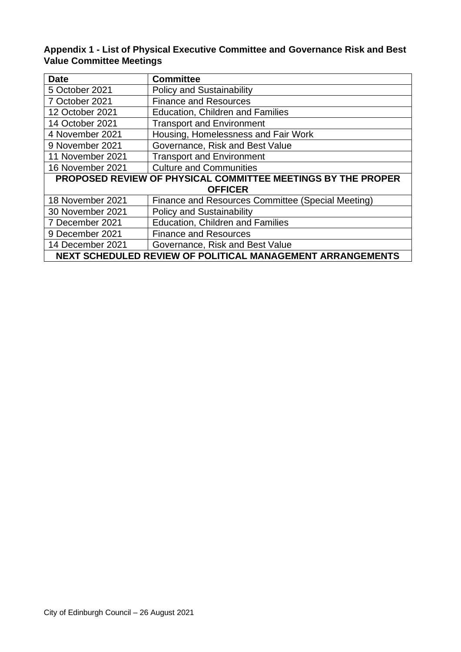#### **Appendix 1 - List of Physical Executive Committee and Governance Risk and Best Value Committee Meetings**

| <b>Date</b>                                                         | <b>Committee</b>                                  |
|---------------------------------------------------------------------|---------------------------------------------------|
| 5 October 2021                                                      | <b>Policy and Sustainability</b>                  |
| 7 October 2021                                                      | <b>Finance and Resources</b>                      |
| 12 October 2021                                                     | Education, Children and Families                  |
| 14 October 2021                                                     | <b>Transport and Environment</b>                  |
| 4 November 2021                                                     | Housing, Homelessness and Fair Work               |
| 9 November 2021                                                     | Governance, Risk and Best Value                   |
| 11 November 2021                                                    | <b>Transport and Environment</b>                  |
| 16 November 2021                                                    | <b>Culture and Communities</b>                    |
| <b>PROPOSED REVIEW OF PHYSICAL COMMITTEE MEETINGS BY THE PROPER</b> |                                                   |
| <b>OFFICER</b>                                                      |                                                   |
| 18 November 2021                                                    | Finance and Resources Committee (Special Meeting) |
| 30 November 2021                                                    | <b>Policy and Sustainability</b>                  |
| 7 December 2021                                                     | Education, Children and Families                  |
| 9 December 2021                                                     | <b>Finance and Resources</b>                      |
| 14 December 2021                                                    | Governance, Risk and Best Value                   |
| <b>NEXT SCHEDULED REVIEW OF POLITICAL MANAGEMENT ARRANGEMENTS</b>   |                                                   |